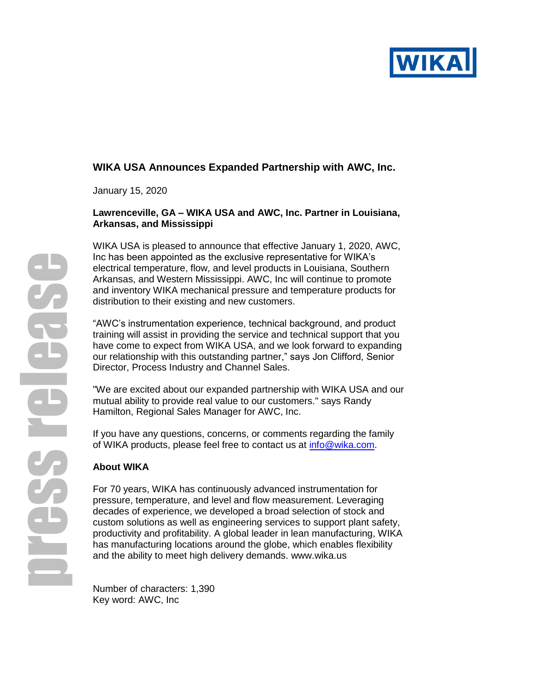

# **WIKA USA Announces Expanded Partnership with AWC, Inc.**

January 15, 2020

## **Lawrenceville, GA – WIKA USA and AWC, Inc. Partner in Louisiana, Arkansas, and Mississippi**

WIKA USA is pleased to announce that effective January 1, 2020, AWC, Inc has been appointed as the exclusive representative for WIKA's electrical temperature, flow, and level products in Louisiana, Southern Arkansas, and Western Mississippi. AWC, Inc will continue to promote and inventory WIKA mechanical pressure and temperature products for distribution to their existing and new customers.

"AWC's instrumentation experience, technical background, and product training will assist in providing the service and technical support that you have come to expect from WIKA USA, and we look forward to expanding our relationship with this outstanding partner," says Jon Clifford, Senior Director, Process Industry and Channel Sales.

"We are excited about our expanded partnership with WIKA USA and our mutual ability to provide real value to our customers." says Randy Hamilton, Regional Sales Manager for AWC, Inc.

If you have any questions, concerns, or comments regarding the family of WIKA products, please feel free to contact us at [info@wika.com.](mailto:info@wika.com)

# **About WIKA**

For 70 years, WIKA has continuously advanced instrumentation for pressure, temperature, and level and flow measurement. Leveraging decades of experience, we developed a broad selection of stock and custom solutions as well as engineering services to support plant safety, productivity and profitability. A global leader in lean manufacturing, WIKA has manufacturing locations around the globe, which enables flexibility and the ability to meet high delivery demands. [www.wika.us](http://www.wika.us/)

Number of characters: 1,390 Key word: AWC, Inc